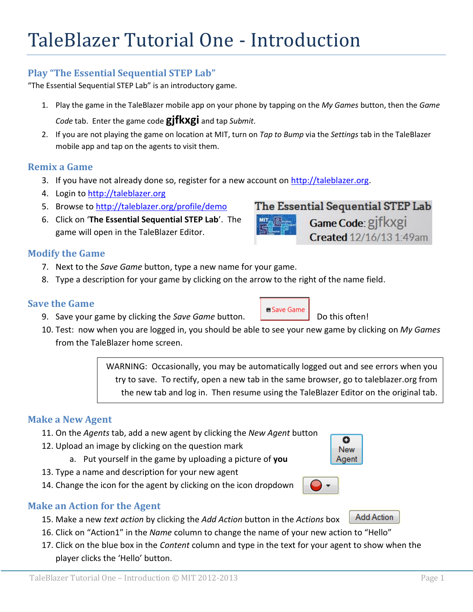## **Play "The Essential Sequential STEP Lab"**

"The Essential Sequential STEP Lab" is an introductory game.

- 1. Play the game in the TaleBlazer mobile app on your phone by tapping on the *My Games* button, then the *Game Code* tab. Enter the game code **gjfkxgi** and tap *Submit*.
- 2. If you are not playing the game on location at MIT, turn on *Tap to Bump* via the *Settings* tab in the TaleBlazer mobile app and tap on the agents to visit them.

### **Remix a Game**

- 3. If you have not already done so, register for a new account on [http://taleblazer.org.](http://taleblazer.org/)
- 4. Login to [http://taleblazer.org](http://taleblazer.org/)
- 5. Browse to<http://taleblazer.org/profile/demo>
- 6. Click on '**The Essential Sequential STEP Lab**'. The game will open in the TaleBlazer Editor.

## **Modify the Game**

- 7. Next to the *Save Game* button, type a new name for your game.
- 8. Type a description for your game by clicking on the arrow to the right of the name field.

### **Save the Game**

- 9. Save your game by clicking the *Save Game* button. **Decision in the** *D***o this often!**
- 10. Test: now when you are logged in, you should be able to see your new game by clicking on *My Games* from the TaleBlazer home screen.

WARNING: Occasionally, you may be automatically logged out and see errors when you try to save. To rectify, open a new tab in the same browser, go to taleblazer.org from the new tab and log in. Then resume using the TaleBlazer Editor on the original tab.

## **Make a New Agent**

- 11. On the *Agents* tab, add a new agent by clicking the *New Agent* button
- 12. Upload an image by clicking on the question mark
	- a. Put yourself in the game by uploading a picture of **you**
- 13. Type a name and description for your new agent
- 14. Change the icon for the agent by clicking on the icon dropdown

## **Make an Action for the Agent**

- Add Action 15. Make a new *text action* by clicking the *Add Action* button in the *Actions* box
- 16. Click on "Action1" in the *Name* column to change the name of your new action to "Hello"
- 17. Click on the blue box in the *Content* column and type in the text for your agent to show when the player clicks the 'Hello' button.

# Game Code: gjfkxgi



ο **New** Agent